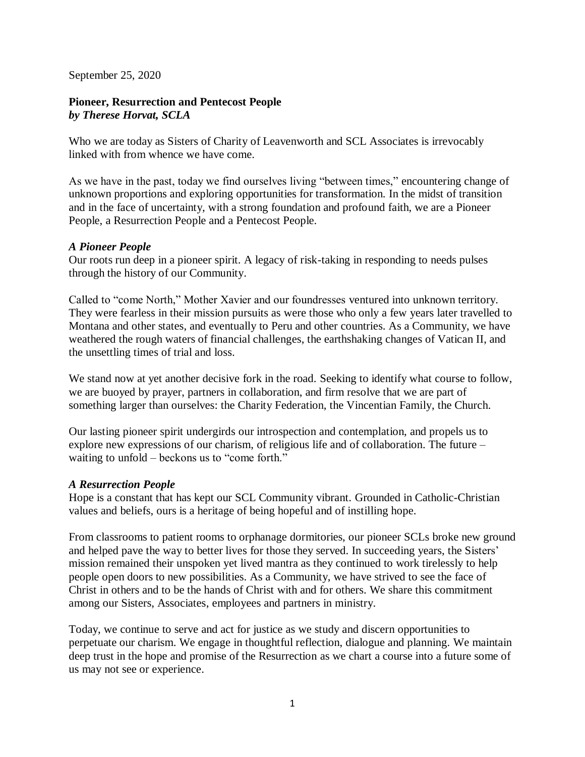September 25, 2020

# **Pioneer, Resurrection and Pentecost People** *by Therese Horvat, SCLA*

Who we are today as Sisters of Charity of Leavenworth and SCL Associates is irrevocably linked with from whence we have come.

As we have in the past, today we find ourselves living "between times," encountering change of unknown proportions and exploring opportunities for transformation. In the midst of transition and in the face of uncertainty, with a strong foundation and profound faith, we are a Pioneer People, a Resurrection People and a Pentecost People.

## *A Pioneer People*

Our roots run deep in a pioneer spirit. A legacy of risk-taking in responding to needs pulses through the history of our Community.

Called to "come North," Mother Xavier and our foundresses ventured into unknown territory. They were fearless in their mission pursuits as were those who only a few years later travelled to Montana and other states, and eventually to Peru and other countries. As a Community, we have weathered the rough waters of financial challenges, the earthshaking changes of Vatican II, and the unsettling times of trial and loss.

We stand now at yet another decisive fork in the road. Seeking to identify what course to follow, we are buoyed by prayer, partners in collaboration, and firm resolve that we are part of something larger than ourselves: the Charity Federation, the Vincentian Family, the Church.

Our lasting pioneer spirit undergirds our introspection and contemplation, and propels us to explore new expressions of our charism, of religious life and of collaboration. The future – waiting to unfold – beckons us to "come forth."

## *A Resurrection People*

Hope is a constant that has kept our SCL Community vibrant. Grounded in Catholic-Christian values and beliefs, ours is a heritage of being hopeful and of instilling hope.

From classrooms to patient rooms to orphanage dormitories, our pioneer SCLs broke new ground and helped pave the way to better lives for those they served. In succeeding years, the Sisters' mission remained their unspoken yet lived mantra as they continued to work tirelessly to help people open doors to new possibilities. As a Community, we have strived to see the face of Christ in others and to be the hands of Christ with and for others. We share this commitment among our Sisters, Associates, employees and partners in ministry.

Today, we continue to serve and act for justice as we study and discern opportunities to perpetuate our charism. We engage in thoughtful reflection, dialogue and planning. We maintain deep trust in the hope and promise of the Resurrection as we chart a course into a future some of us may not see or experience.